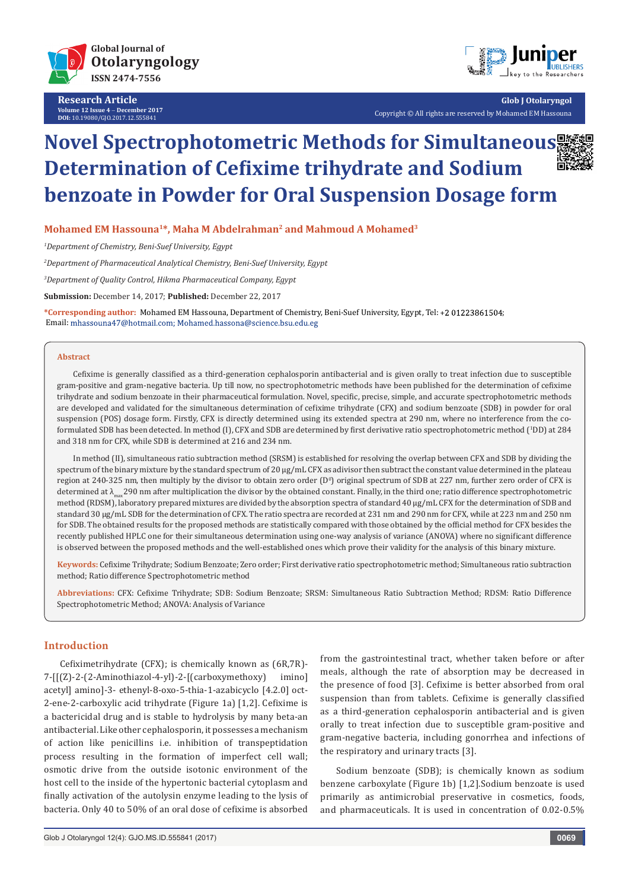

**Research Article Volume 12 Issue 4** - **December 2017 DOI:** [10.19080/GJO.2017.12.555841](http://dx.doi.org/10.19080/GJO.2017.12.555841)



**Glob J Otolaryngol** Copyright © All rights are reserved by Mohamed EM Hassouna

# **Novel Spectrophotometric Methods for Simultaneous Determination of Cefixime trihydrate and Sodium benzoate in Powder for Oral Suspension Dosage form**



**Mohamed EM Hassouna1\*, Maha M Abdelrahman2 and Mahmoud A Mohamed3**

*1 Department of Chemistry, Beni-Suef University, Egypt*

*2 Department of Pharmaceutical Analytical Chemistry, Beni-Suef University, Egypt*

*3 Department of Quality Control, Hikma Pharmaceutical Company, Egypt*

**Submission:** December 14, 2017; **Published:** December 22, 2017

**\*Corresponding author:** Mohamed EM Hassouna, Department of Chemistry, Beni-Suef University, Egypt, Tel: ; Email: mhassouna47@hotmail.com; Mohamed.hassona@science.bsu.edu.eg

#### **Abstract**

Cefixime is generally classified as a third-generation cephalosporin antibacterial and is given orally to treat infection due to susceptible gram-positive and gram-negative bacteria. Up till now, no spectrophotometric methods have been published for the determination of cefixime trihydrate and sodium benzoate in their pharmaceutical formulation. Novel, specific, precise, simple, and accurate spectrophotometric methods are developed and validated for the simultaneous determination of cefixime trihydrate (CFX) and sodium benzoate (SDB) in powder for oral suspension (POS) dosage form. Firstly, CFX is directly determined using its extended spectra at 290 nm, where no interference from the coformulated SDB has been detected. In method (I), CFX and SDB are determined by first derivative ratio spectrophotometric method (<sup>1</sup> DD) at 284 and 318 nm for CFX, while SDB is determined at 216 and 234 nm.

In method (II), simultaneous ratio subtraction method (SRSM) is established for resolving the overlap between CFX and SDB by dividing the spectrum of the binary mixture by the standard spectrum of 20  $\mu$ g/mL CFX as adivisor then subtract the constant value determined in the plateau region at 240-325 nm, then multiply by the divisor to obtain zero order (D<sup>o</sup>) original spectrum of SDB at 227 nm, further zero order of CFX is determined at λ<sub>max</sub> 290 nm after multiplication the divisor by the obtained constant. Finally, in the third one; ratio difference spectrophotometric method (RDSM), laboratory prepared mixtures are divided by the absorption spectra of standard 40 μg/mL CFX for the determination of SDB and standard 30 μg/mL SDB for the determination of CFX. The ratio spectra are recorded at 231 nm and 290 nm for CFX, while at 223 nm and 250 nm for SDB. The obtained results for the proposed methods are statistically compared with those obtained by the official method for CFX besides the recently published HPLC one for their simultaneous determination using one-way analysis of variance (ANOVA) where no significant difference is observed between the proposed methods and the well-established ones which prove their validity for the analysis of this binary mixture.

**Keywords:** Cefixime Trihydrate; Sodium Benzoate; Zero order; First derivative ratio spectrophotometric method; Simultaneous ratio subtraction method; Ratio difference Spectrophotometric method

**Abbreviations:** CFX: Cefixime Trihydrate; SDB: Sodium Benzoate; SRSM: Simultaneous Ratio Subtraction Method; RDSM: Ratio Difference Spectrophotometric Method; ANOVA: Analysis of Variance

#### **Introduction**

Cefiximetrihydrate (CFX); is chemically known as (6R,7R)- 7-[[(Z)-2-(2-Aminothiazol-4-yl)-2-[(carboxymethoxy) imino] acetyl] amino]-3- ethenyl-8-oxo-5-thia-1-azabicyclo [4.2.0] oct-2-ene-2-carboxylic acid trihydrate (Figure 1a) [1,2]. Cefixime is a bactericidal drug and is stable to hydrolysis by many beta-an antibacterial. Like other cephalosporin, it possesses a mechanism of action like penicillins i.e. inhibition of transpeptidation process resulting in the formation of imperfect cell wall; osmotic drive from the outside isotonic environment of the host cell to the inside of the hypertonic bacterial cytoplasm and finally activation of the autolysin enzyme leading to the lysis of bacteria. Only 40 to 50% of an oral dose of cefixime is absorbed

from the gastrointestinal tract, whether taken before or after meals, although the rate of absorption may be decreased in the presence of food [3]. Cefixime is better absorbed from oral suspension than from tablets. Cefixime is generally classified as a third-generation cephalosporin antibacterial and is given orally to treat infection due to susceptible gram-positive and gram-negative bacteria, including gonorrhea and infections of the respiratory and urinary tracts [3].

Sodium benzoate (SDB); is chemically known as sodium benzene carboxylate (Figure 1b) [1,2].Sodium benzoate is used primarily as antimicrobial preservative in cosmetics, foods, and pharmaceuticals. It is used in concentration of 0.02-0.5%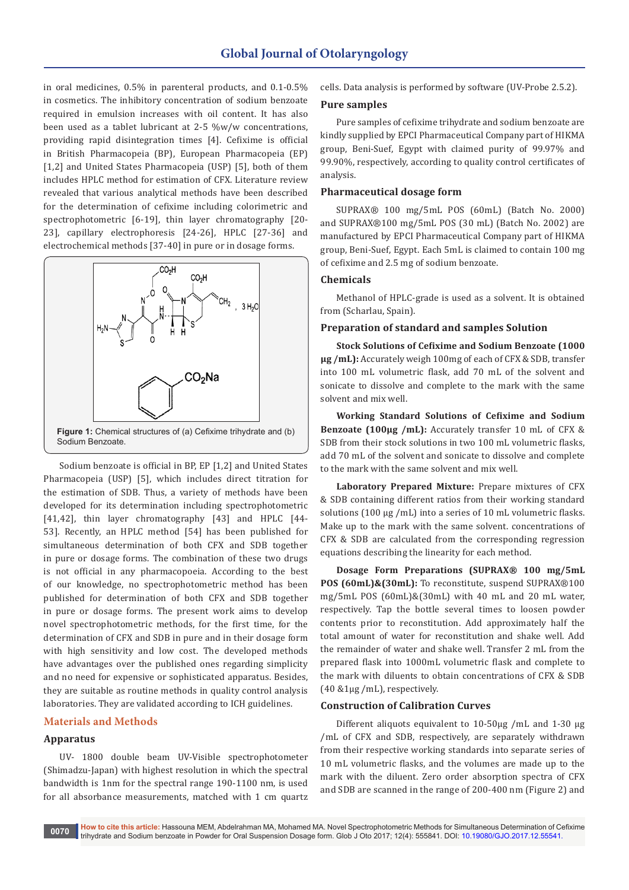in oral medicines, 0.5% in parenteral products, and 0.1-0.5% in cosmetics. The inhibitory concentration of sodium benzoate required in emulsion increases with oil content. It has also been used as a tablet lubricant at 2-5 %w/w concentrations, providing rapid disintegration times [4]. Cefixime is official in British Pharmacopeia (BP), European Pharmacopeia (EP) [1,2] and United States Pharmacopeia (USP) [5], both of them includes HPLC method for estimation of CFX. Literature review revealed that various analytical methods have been described for the determination of cefixime including colorimetric and spectrophotometric [6-19], thin layer chromatography [20- 23], capillary electrophoresis [24-26], HPLC [27-36] and electrochemical methods [37-40] in pure or in dosage forms.



Sodium benzoate is official in BP, EP [1,2] and United States Pharmacopeia (USP) [5], which includes direct titration for the estimation of SDB. Thus, a variety of methods have been developed for its determination including spectrophotometric [41,42], thin layer chromatography [43] and HPLC [44-53]. Recently, an HPLC method [54] has been published for simultaneous determination of both CFX and SDB together in pure or dosage forms. The combination of these two drugs is not official in any pharmacopoeia. According to the best of our knowledge, no spectrophotometric method has been published for determination of both CFX and SDB together in pure or dosage forms. The present work aims to develop novel spectrophotometric methods, for the first time, for the determination of CFX and SDB in pure and in their dosage form with high sensitivity and low cost. The developed methods have advantages over the published ones regarding simplicity and no need for expensive or sophisticated apparatus. Besides, they are suitable as routine methods in quality control analysis laboratories. They are validated according to ICH guidelines.

## **Materials and Methods**

## **Apparatus**

UV- 1800 double beam UV-Visible spectrophotometer (Shimadzu-Japan) with highest resolution in which the spectral bandwidth is 1nm for the spectral range 190-1100 nm, is used for all absorbance measurements, matched with 1 cm quartz cells. Data analysis is performed by software (UV-Probe 2.5.2).

#### **Pure samples**

Pure samples of cefixime trihydrate and sodium benzoate are kindly supplied by EPCI Pharmaceutical Company part of HIKMA group, Beni-Suef, Egypt with claimed purity of 99.97% and 99.90%, respectively, according to quality control certificates of analysis.

## **Pharmaceutical dosage form**

SUPRAX® 100 mg/5mL POS (60mL) (Batch No. 2000) and SUPRAX®100 mg/5mL POS (30 mL) (Batch No. 2002) are manufactured by EPCI Pharmaceutical Company part of HIKMA group, Beni-Suef, Egypt. Each 5mL is claimed to contain 100 mg of cefixime and 2.5 mg of sodium benzoate.

## **Chemicals**

Methanol of HPLC-grade is used as a solvent. It is obtained from (Scharlau, Spain).

## **Preparation of standard and samples Solution**

**Stock Solutions of Cefixime and Sodium Benzoate (1000 μg /mL):** Accurately weigh 100mg of each of CFX & SDB, transfer into 100 mL volumetric flask, add 70 mL of the solvent and sonicate to dissolve and complete to the mark with the same solvent and mix well.

**Working Standard Solutions of Cefixime and Sodium Benzoate (100μg /mL):** Accurately transfer 10 mL of CFX & SDB from their stock solutions in two 100 mL volumetric flasks, add 70 mL of the solvent and sonicate to dissolve and complete to the mark with the same solvent and mix well.

**Laboratory Prepared Mixture:** Prepare mixtures of CFX & SDB containing different ratios from their working standard solutions (100 μg /mL) into a series of 10 mL volumetric flasks. Make up to the mark with the same solvent. concentrations of CFX & SDB are calculated from the corresponding regression equations describing the linearity for each method.

**Dosage Form Preparations (SUPRAX® 100 mg/5mL POS (60mL)&(30mL):** To reconstitute, suspend SUPRAX®100 mg/5mL POS (60mL)&(30mL) with 40 mL and 20 mL water, respectively. Tap the bottle several times to loosen powder contents prior to reconstitution. Add approximately half the total amount of water for reconstitution and shake well. Add the remainder of water and shake well. Transfer 2 mL from the prepared flask into 1000mL volumetric flask and complete to the mark with diluents to obtain concentrations of CFX & SDB (40 &1μg /mL), respectively.

## **Construction of Calibration Curves**

Different aliquots equivalent to 10-50μg /mL and 1-30 μg /mL of CFX and SDB, respectively, are separately withdrawn from their respective working standards into separate series of 10 mL volumetric flasks, and the volumes are made up to the mark with the diluent. Zero order absorption spectra of CFX and SDB are scanned in the range of 200-400 nm (Figure 2) and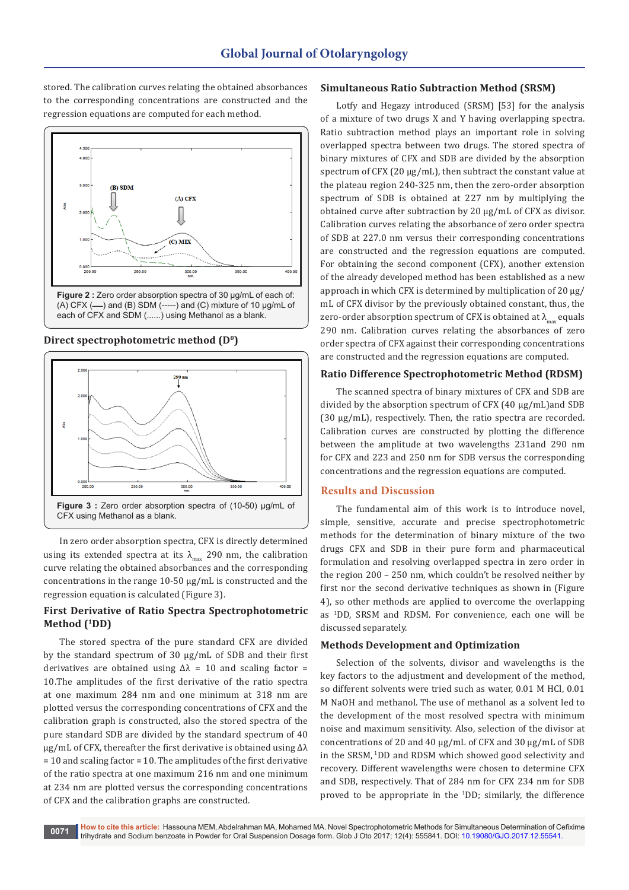stored. The calibration curves relating the obtained absorbances to the corresponding concentrations are constructed and the regression equations are computed for each method.



**Direct spectrophotometric method (D<sup>0</sup>)**



In zero order absorption spectra, CFX is directly determined using its extended spectra at its  $\lambda_{\text{max}}$  290 nm, the calibration curve relating the obtained absorbances and the corresponding concentrations in the range 10-50 µg/mL is constructed and the regression equation is calculated (Figure 3).

## **First Derivative of Ratio Spectra Spectrophotometric Method (<sup>1</sup>DD)**

The stored spectra of the pure standard CFX are divided by the standard spectrum of 30 µg/mL of SDB and their first derivatives are obtained using  $\Delta \lambda = 10$  and scaling factor = 10.The amplitudes of the first derivative of the ratio spectra at one maximum 284 nm and one minimum at 318 nm are plotted versus the corresponding concentrations of CFX and the calibration graph is constructed, also the stored spectra of the pure standard SDB are divided by the standard spectrum of 40 µg/mL of CFX, thereafter the first derivative is obtained using Δλ = 10 and scaling factor = 10. The amplitudes of the first derivative of the ratio spectra at one maximum 216 nm and one minimum at 234 nm are plotted versus the corresponding concentrations of CFX and the calibration graphs are constructed.

## **Simultaneous Ratio Subtraction Method (SRSM)**

Lotfy and Hegazy introduced (SRSM) [53] for the analysis of a mixture of two drugs X and Y having overlapping spectra. Ratio subtraction method plays an important role in solving overlapped spectra between two drugs. The stored spectra of binary mixtures of CFX and SDB are divided by the absorption spectrum of CFX (20 µg/mL), then subtract the constant value at the plateau region 240-325 nm, then the zero-order absorption spectrum of SDB is obtained at 227 nm by multiplying the obtained curve after subtraction by 20 µg/mL of CFX as divisor. Calibration curves relating the absorbance of zero order spectra of SDB at 227.0 nm versus their corresponding concentrations are constructed and the regression equations are computed. For obtaining the second component (CFX), another extension of the already developed method has been established as a new approach in which CFX is determined by multiplication of 20 µg/ mL of CFX divisor by the previously obtained constant, thus, the zero-order absorption spectrum of CFX is obtained at  $\lambda_{\text{max}}$  equals 290 nm. Calibration curves relating the absorbances of zero order spectra of CFX against their corresponding concentrations are constructed and the regression equations are computed.

#### **Ratio Difference Spectrophotometric Method (RDSM)**

The scanned spectra of binary mixtures of CFX and SDB are divided by the absorption spectrum of CFX (40 µg/mL)and SDB (30 μg/mL), respectively. Then, the ratio spectra are recorded. Calibration curves are constructed by plotting the difference between the amplitude at two wavelengths 231and 290 nm for CFX and 223 and 250 nm for SDB versus the corresponding concentrations and the regression equations are computed.

#### **Results and Discussion**

The fundamental aim of this work is to introduce novel, simple, sensitive, accurate and precise spectrophotometric methods for the determination of binary mixture of the two drugs CFX and SDB in their pure form and pharmaceutical formulation and resolving overlapped spectra in zero order in the region 200 – 250 nm, which couldn't be resolved neither by first nor the second derivative techniques as shown in (Figure 4), so other methods are applied to overcome the overlapping as <sup>1</sup> DD, SRSM and RDSM. For convenience, each one will be discussed separately.

#### **Methods Development and Optimization**

Selection of the solvents, divisor and wavelengths is the key factors to the adjustment and development of the method, so different solvents were tried such as water, 0.01 M HCl, 0.01 M NaOH and methanol. The use of methanol as a solvent led to the development of the most resolved spectra with minimum noise and maximum sensitivity. Also, selection of the divisor at concentrations of 20 and 40 µg/mL of CFX and 30 µg/mL of SDB in the SRSM, <sup>1</sup>DD and RDSM which showed good selectivity and recovery. Different wavelengths were chosen to determine CFX and SDB, respectively. That of 284 nm for CFX 234 nm for SDB proved to be appropriate in the <sup>1</sup> DD; similarly, the difference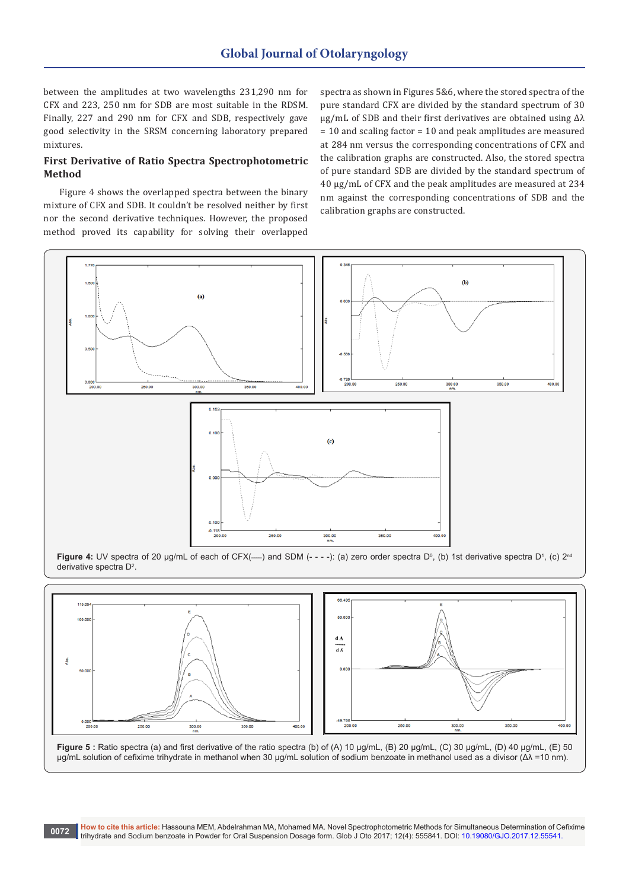between the amplitudes at two wavelengths 231,290 nm for CFX and 223, 250 nm for SDB are most suitable in the RDSM. Finally, 227 and 290 nm for CFX and SDB, respectively gave good selectivity in the SRSM concerning laboratory prepared mixtures.

## **First Derivative of Ratio Spectra Spectrophotometric Method**

Figure 4 shows the overlapped spectra between the binary mixture of CFX and SDB. It couldn't be resolved neither by first nor the second derivative techniques. However, the proposed method proved its capability for solving their overlapped

spectra as shown in Figures 5&6, where the stored spectra of the pure standard CFX are divided by the standard spectrum of 30 µg/mL of SDB and their first derivatives are obtained using Δλ = 10 and scaling factor = 10 and peak amplitudes are measured at 284 nm versus the corresponding concentrations of CFX and the calibration graphs are constructed. Also, the stored spectra of pure standard SDB are divided by the standard spectrum of 40 µg/mL of CFX and the peak amplitudes are measured at 234 nm against the corresponding concentrations of SDB and the calibration graphs are constructed.



**Figure 4:** UV spectra of 20 µg/mL of each of CFX(—) and SDM (- - -): (a) zero order spectra Dº, (b) 1st derivative spectra D<sup>1</sup>, (c) 2<sup>nd</sup> derivative spectra D<sup>2</sup>.



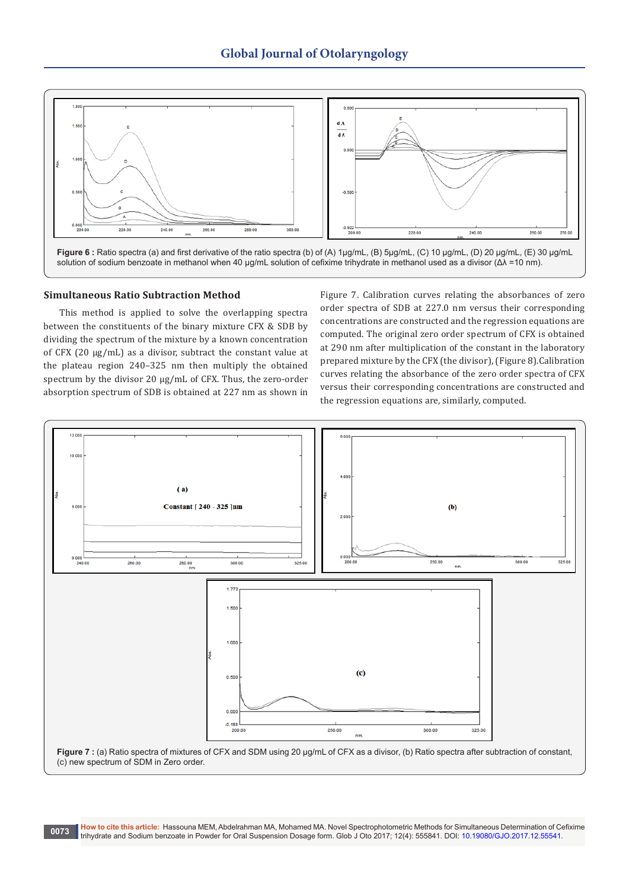

## **Simultaneous Ratio Subtraction Method**

This method is applied to solve the overlapping spectra between the constituents of the binary mixture CFX & SDB by dividing the spectrum of the mixture by a known concentration of CFX (20 µg/mL) as a divisor, subtract the constant value at the plateau region 240–325 nm then multiply the obtained spectrum by the divisor 20  $\mu$ g/mL of CFX. Thus, the zero-order absorption spectrum of SDB is obtained at 227 nm as shown in

Figure 7. Calibration curves relating the absorbances of zero order spectra of SDB at 227.0 nm versus their corresponding concentrations are constructed and the regression equations are computed. The original zero order spectrum of CFX is obtained at 290 nm after multiplication of the constant in the laboratory prepared mixture by the CFX (the divisor), (Figure 8).Calibration curves relating the absorbance of the zero order spectra of CFX versus their corresponding concentrations are constructed and the regression equations are, similarly, computed.

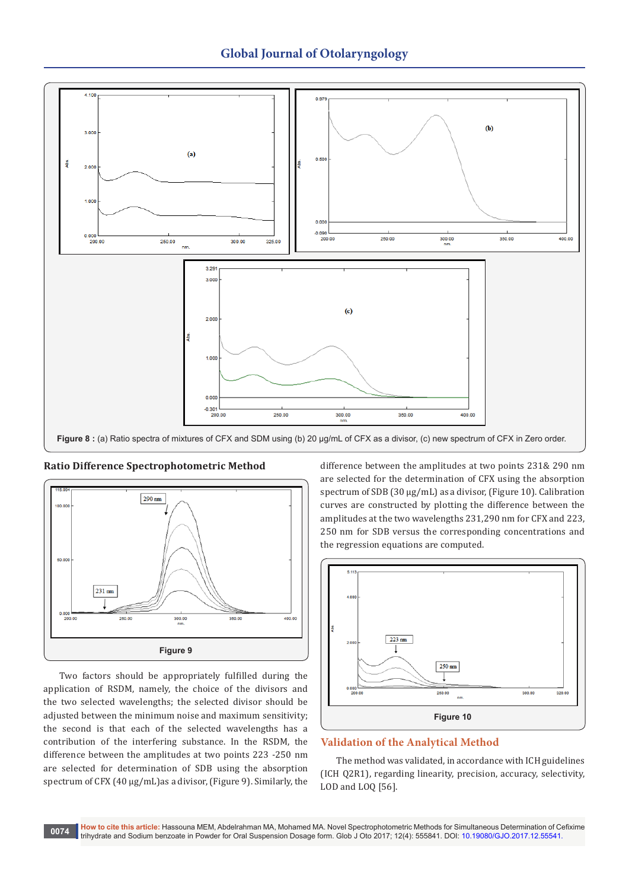



**Ratio Difference Spectrophotometric Method**

Two factors should be appropriately fulfilled during the application of RSDM, namely, the choice of the divisors and the two selected wavelengths; the selected divisor should be adjusted between the minimum noise and maximum sensitivity; the second is that each of the selected wavelengths has a contribution of the interfering substance. In the RSDM, the difference between the amplitudes at two points 223 -250 nm are selected for determination of SDB using the absorption spectrum of CFX (40 µg/mL)as a divisor, (Figure 9). Similarly, the difference between the amplitudes at two points 231& 290 nm are selected for the determination of CFX using the absorption spectrum of SDB (30 μg/mL) as a divisor, (Figure 10). Calibration curves are constructed by plotting the difference between the amplitudes at the two wavelengths 231,290 nm for CFX and 223, 250 nm for SDB versus the corresponding concentrations and the regression equations are computed.



# **Validation of the Analytical Method**

The method was validated, in accordance with ICH guidelines (ICH Q2R1), regarding linearity, precision, accuracy, selectivity, LOD and LOQ [56].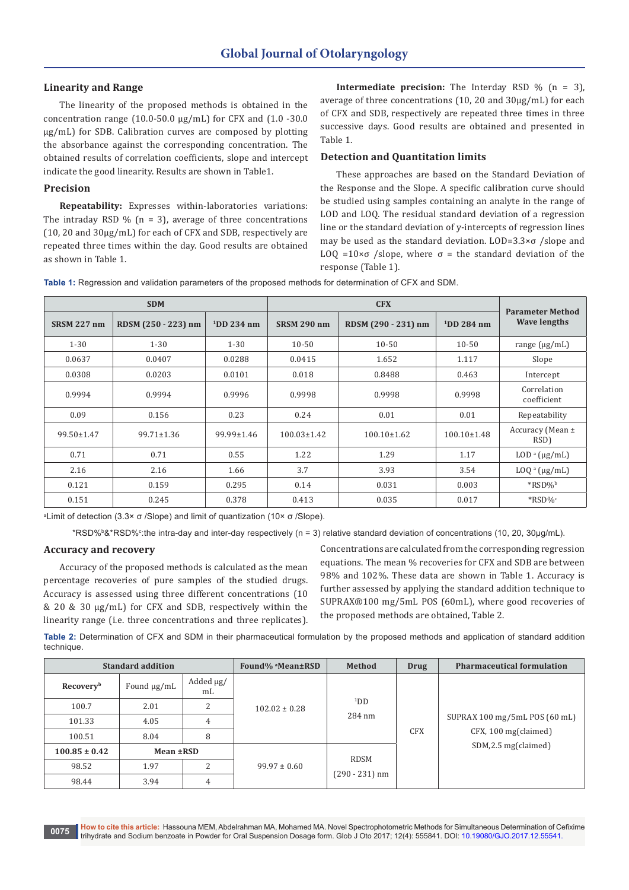## **Linearity and Range**

The linearity of the proposed methods is obtained in the concentration range (10.0-50.0 μg/mL) for CFX and (1.0 -30.0 μg/mL) for SDB. Calibration curves are composed by plotting the absorbance against the corresponding concentration. The obtained results of correlation coefficients, slope and intercept indicate the good linearity. Results are shown in Table1.

#### **Precision**

**Repeatability:** Expresses within-laboratories variations: The intraday RSD  $\%$  (n = 3), average of three concentrations (10, 20 and 30μg/mL) for each of CFX and SDB, respectively are repeated three times within the day. Good results are obtained as shown in Table 1.

**Intermediate precision:** The Interday RSD % (n = 3), average of three concentrations (10, 20 and 30μg/mL) for each of CFX and SDB, respectively are repeated three times in three successive days. Good results are obtained and presented in Table 1.

## **Detection and Quantitation limits**

These approaches are based on the Standard Deviation of the Response and the Slope. A specific calibration curve should be studied using samples containing an analyte in the range of LOD and LOQ. The residual standard deviation of a regression line or the standard deviation of y-intercepts of regression lines may be used as the standard deviation. LOD=3.3×σ /slope and LOQ =10×σ /slope, where  $σ =$  the standard deviation of the response (Table 1).

**Table 1:** Regression and validation parameters of the proposed methods for determination of CFX and SDM.

|                    | <b>SDM</b>          |                  |                    | <b>Parameter Method</b> |                   |                            |
|--------------------|---------------------|------------------|--------------------|-------------------------|-------------------|----------------------------|
| <b>SRSM 227 nm</b> | RDSM (250 - 223) nm | $1$ DD 234 nm    | <b>SRSM 290 nm</b> | RDSM (290 - 231) nm     | $1$ DD 284 nm     | <b>Wave lengths</b>        |
| $1 - 30$           | $1 - 30$            | $1 - 30$         | $10 - 50$          | $10 - 50$               | $10 - 50$         | range $(\mu g/mL)$         |
| 0.0637             | 0.0407              | 0.0288           | 0.0415             | 1.652                   | 1.117             | Slope                      |
| 0.0308             | 0.0203              | 0.0101           | 0.018              | 0.8488                  | 0.463             | Intercept                  |
| 0.9994             | 0.9994              | 0.9996           | 0.9998             | 0.9998                  | 0.9998            | Correlation<br>coefficient |
| 0.09               | 0.156               | 0.23             | 0.24               | 0.01                    | 0.01              | Repeatability              |
| $99.50 \pm 1.47$   | $99.71 \pm 1.36$    | $99.99 \pm 1.46$ | $100.03 \pm 1.42$  | $100.10 \pm 1.62$       | $100.10 \pm 1.48$ | Accuracy (Mean ±<br>RSD)   |
| 0.71               | 0.71                | 0.55             | 1.22               | 1.29                    | 1.17              | $LOD^a(\mu g/mL)$          |
| 2.16               | 2.16                | 1.66             | 3.7                | 3.93                    | 3.54              | $LOQ^a$ ( $\mu$ g/mL)      |
| 0.121              | 0.159               | 0.295            | 0.14               | 0.031                   | 0.003             | $*RSD\%$                   |
| 0.151              | 0.245               | 0.378            | 0.413              | 0.035                   | 0.017             | $*RSD\%c$                  |

a Limit of detection (3.3× σ /Slope) and limit of quantization (10× σ /Slope).

\*RSD%ʰ&\*RSD%∘:the intra-day and inter-day respectively (n = 3) relative standard deviation of concentrations (10, 20, 30μg/mL).

#### **Accuracy and recovery**

Accuracy of the proposed methods is calculated as the mean percentage recoveries of pure samples of the studied drugs. Accuracy is assessed using three different concentrations (10 & 20 & 30 μg/mL) for CFX and SDB, respectively within the linearity range (i.e. three concentrations and three replicates).

Concentrations are calculated from the corresponding regression equations. The mean % recoveries for CFX and SDB are between 98% and 102%. These data are shown in Table 1. Accuracy is further assessed by applying the standard addition technique to SUPRAX®100 mg/5mL POS (60mL), where good recoveries of the proposed methods are obtained, Table 2.

**Table 2:** Determination of CFX and SDM in their pharmaceutical formulation by the proposed methods and application of standard addition technique.

| <b>Standard addition</b> |                  |                             | Found% <sup>a</sup> Mean±RSD | Method                        | <b>Drug</b> | <b>Pharmaceutical formulation</b>                                               |  |  |
|--------------------------|------------------|-----------------------------|------------------------------|-------------------------------|-------------|---------------------------------------------------------------------------------|--|--|
| Recovery <sup>b</sup>    | Found $\mu$ g/mL | Added µg/<br>m <sub>L</sub> |                              | 1DD<br>284 nm                 | <b>CFX</b>  |                                                                                 |  |  |
| 100.7                    | 2.01             | 2                           | $102.02 \pm 0.28$            |                               |             | SUPRAX 100 mg/5mL POS (60 mL)<br>$CFX$ , 100 mg(claimed)<br>SDM,2.5 mg(claimed) |  |  |
| 101.33                   | 4.05             | 4                           |                              |                               |             |                                                                                 |  |  |
| 100.51                   | 8.04             | 8                           |                              |                               |             |                                                                                 |  |  |
| $100.85 \pm 0.42$        | Mean ±RSD        |                             |                              | <b>RDSM</b><br>(290 - 231) nm |             |                                                                                 |  |  |
| 98.52                    | 1.97             | 2                           | $99.97 \pm 0.60$             |                               |             |                                                                                 |  |  |
| 98.44                    | 3.94             | 4                           |                              |                               |             |                                                                                 |  |  |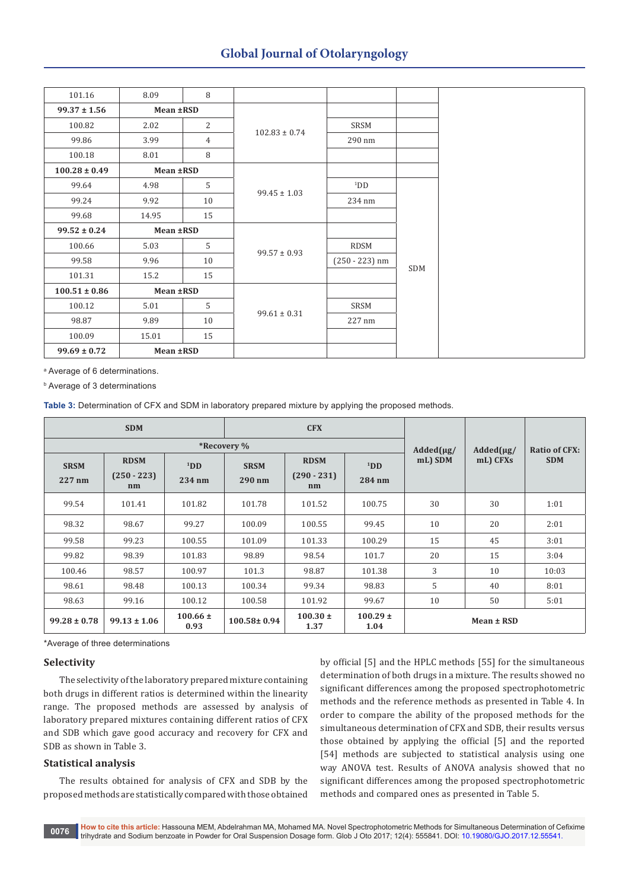# **Global Journal of Otolaryngology**

| 101.16            | 8.09      | 8  |                   |                  |     |
|-------------------|-----------|----|-------------------|------------------|-----|
| $99.37 \pm 1.56$  | Mean ±RSD |    |                   |                  |     |
| 100.82            | 2.02      | 2  |                   | SRSM             |     |
| 99.86             | 3.99      | 4  | $102.83 \pm 0.74$ | 290 nm           |     |
| 100.18            | 8.01      | 8  |                   |                  |     |
| $100.28 \pm 0.49$ | Mean ±RSD |    |                   |                  |     |
| 99.64             | 4.98      | 5  |                   | 1DD              |     |
| 99.24             | 9.92      | 10 | $99.45 \pm 1.03$  | 234 nm           |     |
| 99.68             | 14.95     | 15 |                   |                  |     |
| $99.52 \pm 0.24$  | Mean ±RSD |    |                   |                  |     |
| 100.66            | 5.03      | 5  | $99.57 \pm 0.93$  | RDSM             |     |
| 99.58             | 9.96      | 10 |                   | $(250 - 223)$ nm | SDM |
| 101.31            | 15.2      | 15 |                   |                  |     |
| $100.51 \pm 0.86$ | Mean ±RSD |    |                   |                  |     |
| 100.12            | 5.01      | 5  |                   | SRSM             |     |
| 98.87             | 9.89      | 10 | $99.61 \pm 0.31$  | 227 nm           |     |
| 100.09            | 15.01     | 15 |                   |                  |     |
| $99.69 \pm 0.72$  | Mean ±RSD |    |                   |                  |     |

a Average of 6 determinations.

b Average of 3 determinations

**Table 3:** Determination of CFX and SDM in laboratory prepared mixture by applying the proposed methods.

| <b>SDM</b>            |                                    |                           |                       | <b>CFX</b>                         |                           |                |          |            |
|-----------------------|------------------------------------|---------------------------|-----------------------|------------------------------------|---------------------------|----------------|----------|------------|
|                       |                                    | $Added(\mu g)$            | $Added(\mu g)$        | <b>Ratio of CFX:</b>               |                           |                |          |            |
| <b>SRSM</b><br>227 nm | <b>RDSM</b><br>$(250 - 223)$<br>nm | 1 <sub>DD</sub><br>234 nm | <b>SRSM</b><br>290 nm | <b>RDSM</b><br>$(290 - 231)$<br>nm | 1 <sub>DD</sub><br>284 nm | mL) SDM        | mL) CFXs | <b>SDM</b> |
| 99.54                 | 101.41                             | 101.82                    | 101.78                | 101.52                             | 100.75                    | 30             | 30       | 1:01       |
| 98.32                 | 98.67                              | 99.27                     | 100.09                | 100.55                             | 99.45                     | 10             | 20       | 2:01       |
| 99.58                 | 99.23                              | 100.55                    | 101.09                | 101.33                             | 100.29                    | 15             | 45       | 3:01       |
| 99.82                 | 98.39                              | 101.83                    | 98.89                 | 98.54                              | 101.7                     | 20             | 15       | 3:04       |
| 100.46                | 98.57                              | 100.97                    | 101.3                 | 98.87                              | 101.38                    | 3              | 10       | 10:03      |
| 98.61                 | 98.48                              | 100.13                    | 100.34                | 99.34                              | 98.83                     | 5              | 40       | 8:01       |
| 98.63                 | 99.16                              | 100.12                    | 100.58                | 101.92                             | 99.67                     | 10             | 50       | 5:01       |
| $99.28 \pm 0.78$      | $99.13 \pm 1.06$                   | $100.66 \pm$<br>0.93      | $100.58 \pm 0.94$     | $100.30 \pm$<br>1.37               | $100.29 \pm$<br>1.04      | $Mean \pm RSD$ |          |            |

\*Average of three determinations

#### **Selectivity**

The selectivity of the laboratory prepared mixture containing both drugs in different ratios is determined within the linearity range. The proposed methods are assessed by analysis of laboratory prepared mixtures containing different ratios of CFX and SDB which gave good accuracy and recovery for CFX and SDB as shown in Table 3.

#### **Statistical analysis**

The results obtained for analysis of CFX and SDB by the proposed methods are statistically compared with those obtained

by official [5] and the HPLC methods [55] for the simultaneous determination of both drugs in a mixture. The results showed no significant differences among the proposed spectrophotometric methods and the reference methods as presented in Table 4. In order to compare the ability of the proposed methods for the simultaneous determination of CFX and SDB, their results versus those obtained by applying the official [5] and the reported [54] methods are subjected to statistical analysis using one way ANOVA test. Results of ANOVA analysis showed that no significant differences among the proposed spectrophotometric methods and compared ones as presented in Table 5.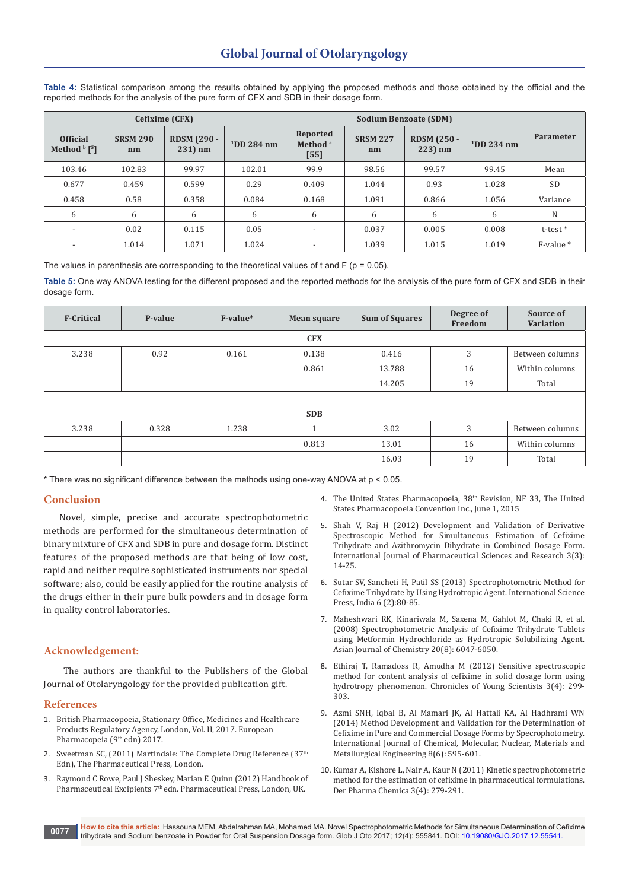**Table 4:** Statistical comparison among the results obtained by applying the proposed methods and those obtained by the official and the reported methods for the analysis of the pure form of CFX and SDB in their dosage form.

|                                             |                       | Cefixime (CFX)                |               |                                           |                       |                                  |                |                      |
|---------------------------------------------|-----------------------|-------------------------------|---------------|-------------------------------------------|-----------------------|----------------------------------|----------------|----------------------|
| <b>Official</b><br>Method $\frac{b}{5}$ [5] | <b>SRSM 290</b><br>nm | <b>RDSM (290 -</b><br>231) nm | $1$ DD 284 nm | Reported<br>Method <sup>a</sup><br>$[55]$ | <b>SRSM 227</b><br>nm | <b>RDSM (250 -</b><br>$223$ ) nm | $11$ DD 234 nm | <b>Parameter</b>     |
| 103.46                                      | 102.83                | 99.97                         | 102.01        | 99.9                                      | 98.56                 | 99.57                            | 99.45          | Mean                 |
| 0.677                                       | 0.459                 | 0.599                         | 0.29          | 0.409                                     | 1.044                 | 0.93                             | 1.028          | <b>SD</b>            |
| 0.458                                       | 0.58                  | 0.358                         | 0.084         | 0.168                                     | 1.091                 | 0.866                            | 1.056          | Variance             |
| 6                                           | 6                     | 6                             | 6             | 6                                         | 6                     | 6                                | 6              | N                    |
| $\overline{\phantom{a}}$                    | 0.02                  | 0.115                         | 0.05          | $\overline{\phantom{0}}$                  | 0.037                 | 0.005                            | 0.008          | t-test *             |
| $\overline{\phantom{0}}$                    | 1.014                 | 1.071                         | 1.024         | $\overline{\phantom{0}}$                  | 1.039                 | 1.015                            | 1.019          | F-value <sup>*</sup> |

The values in parenthesis are corresponding to the theoretical values of t and  $F$  ( $p = 0.05$ ).

**Table 5:** One way ANOVA testing for the different proposed and the reported methods for the analysis of the pure form of CFX and SDB in their dosage form.

| <b>F-Critical</b> | P-value | F-value* | <b>Mean square</b> | <b>Sum of Squares</b> | Degree of<br>Freedom | Source of<br><b>Variation</b> |  |  |
|-------------------|---------|----------|--------------------|-----------------------|----------------------|-------------------------------|--|--|
|                   |         |          |                    |                       |                      |                               |  |  |
| 3.238             | 0.92    | 0.161    | 0.138              | 0.416                 | 3                    | Between columns               |  |  |
|                   |         |          | 0.861              | 13.788                | 16                   | Within columns                |  |  |
|                   |         |          |                    | 14.205                | 19                   | Total                         |  |  |
|                   |         |          |                    |                       |                      |                               |  |  |
|                   |         |          | <b>SDB</b>         |                       |                      |                               |  |  |
| 3.238             | 0.328   | 1.238    |                    | 3.02                  | 3                    | Between columns               |  |  |
|                   |         |          | 0.813              | 13.01                 | 16                   | Within columns                |  |  |
|                   |         |          |                    | 16.03                 | 19                   | Total                         |  |  |

\* There was no significant difference between the methods using one-way ANOVA at p < 0.05.

## **Conclusion**

Novel, simple, precise and accurate spectrophotometric methods are performed for the simultaneous determination of binary mixture of CFX and SDB in pure and dosage form. Distinct features of the proposed methods are that being of low cost, rapid and neither require sophisticated instruments nor special software; also, could be easily applied for the routine analysis of the drugs either in their pure bulk powders and in dosage form in quality control laboratories.

# **Acknowledgement:**

The authors are thankful to the Publishers of the Global Journal of Otolaryngology for the provided publication gift.

#### **References**

- 1. British Pharmacopoeia, Stationary Office, Medicines and Healthcare Products Regulatory Agency, London, Vol. II, 2017. European Pharmacopeia (9<sup>th</sup> edn) 2017.
- 2. [Sweetman SC, \(2011\) Martindale: The Complete Drug Reference \(37](https://www.ncbi.nlm.nih.gov/pmc/articles/PMC3257481/)<sup>th</sup> [Edn\), The Pharmaceutical Press, London.](https://www.ncbi.nlm.nih.gov/pmc/articles/PMC3257481/)
- 3. Raymond C Rowe, Paul J Sheskey, Marian E Quinn (2012) Handbook of Pharmaceutical Excipients 7<sup>th</sup> edn. Pharmaceutical Press, London, UK.
- 4. The United States Pharmacopoeia, 38th Revision, NF 33, The United States Pharmacopoeia Convention Inc., June 1, 2015
- 5. [Shah V, Raj H \(2012\) Development and Validation of Derivative](http://ijpsr.com/bft-article/development-and-validation-of-derivative-spectroscopic-method-for-simultaneous-estimation-of-cefixime-trihydrate-and-azithromycin-dihydrate-in-combined-dosage-form/?view=fulltext)  [Spectroscopic Method for Simultaneous Estimation of Cefixime](http://ijpsr.com/bft-article/development-and-validation-of-derivative-spectroscopic-method-for-simultaneous-estimation-of-cefixime-trihydrate-and-azithromycin-dihydrate-in-combined-dosage-form/?view=fulltext)  [Trihydrate and Azithromycin Dihydrate in Combined Dosage Form.](http://ijpsr.com/bft-article/development-and-validation-of-derivative-spectroscopic-method-for-simultaneous-estimation-of-cefixime-trihydrate-and-azithromycin-dihydrate-in-combined-dosage-form/?view=fulltext)  [International Journal of Pharmaceutical Sciences and Research 3\(3\):](http://ijpsr.com/bft-article/development-and-validation-of-derivative-spectroscopic-method-for-simultaneous-estimation-of-cefixime-trihydrate-and-azithromycin-dihydrate-in-combined-dosage-form/?view=fulltext)  [14-25.](http://ijpsr.com/bft-article/development-and-validation-of-derivative-spectroscopic-method-for-simultaneous-estimation-of-cefixime-trihydrate-and-azithromycin-dihydrate-in-combined-dosage-form/?view=fulltext)
- 6. Sutar SV, Sancheti H, [Patil SS \(2013\) Spectrophotometric Method for](http://serialsjournals.com/serialjournalmanager/pdf/1374313607.pdf)  [Cefixime Trihydrate by Using Hydrotropic Agent. International Science](http://serialsjournals.com/serialjournalmanager/pdf/1374313607.pdf)  [Press, India 6 \(2\):80-85.](http://serialsjournals.com/serialjournalmanager/pdf/1374313607.pdf)
- 7. [Maheshwari RK, Kinariwala M, Saxena M, Gahlot M, Chaki R, et al.](https://www.researchgate.net/publication/287766354_Spectrophotometric_analysis_of_cefixime_trihydrate_tablets_using_metformin_hydrochloride_as_hydrotropic_solubilizing_agent)  [\(2008\) Spectrophotometric Analysis of Cefixime Trihydrate Tablets](https://www.researchgate.net/publication/287766354_Spectrophotometric_analysis_of_cefixime_trihydrate_tablets_using_metformin_hydrochloride_as_hydrotropic_solubilizing_agent)  [using Metformin Hydrochloride as Hydrotropic Solubilizing Agent.](https://www.researchgate.net/publication/287766354_Spectrophotometric_analysis_of_cefixime_trihydrate_tablets_using_metformin_hydrochloride_as_hydrotropic_solubilizing_agent)  [Asian Journal of Chemistry 20\(8\): 6047-6050.](https://www.researchgate.net/publication/287766354_Spectrophotometric_analysis_of_cefixime_trihydrate_tablets_using_metformin_hydrochloride_as_hydrotropic_solubilizing_agent)
- 8. [Ethiraj T, Ramadoss R, Amudha M \(2012\) Sensitive spectroscopic](https://www.researchgate.net/publication/307725383_Sensitive_spectroscopic_method_for_content_analysis_of_cefixime_in_solid_dosage_form_using_hydrotropy_phenomenon)  [method for content analysis of cefixime in solid dosage form using](https://www.researchgate.net/publication/307725383_Sensitive_spectroscopic_method_for_content_analysis_of_cefixime_in_solid_dosage_form_using_hydrotropy_phenomenon)  [hydrotropy phenomenon. Chronicles of Young Scientists 3\(4\): 299-](https://www.researchgate.net/publication/307725383_Sensitive_spectroscopic_method_for_content_analysis_of_cefixime_in_solid_dosage_form_using_hydrotropy_phenomenon) [303.](https://www.researchgate.net/publication/307725383_Sensitive_spectroscopic_method_for_content_analysis_of_cefixime_in_solid_dosage_form_using_hydrotropy_phenomenon)
- 9. [Azmi SNH, Iqbal B, Al Mamari JK, Al Hattali KA, Al Hadhrami WN](http://waset.org/publications/9999645/method-development-and-validation-for-the-determination-of-cefixime-in-pure-and-commercial-dosage-forms-by-specrophotometry)  [\(2014\) Method Development and Validation for the Determination of](http://waset.org/publications/9999645/method-development-and-validation-for-the-determination-of-cefixime-in-pure-and-commercial-dosage-forms-by-specrophotometry)  [Cefixime in Pure and Commercial Dosage Forms by Specrophotometry.](http://waset.org/publications/9999645/method-development-and-validation-for-the-determination-of-cefixime-in-pure-and-commercial-dosage-forms-by-specrophotometry)  [International Journal of Chemical, Molecular, Nuclear, Materials and](http://waset.org/publications/9999645/method-development-and-validation-for-the-determination-of-cefixime-in-pure-and-commercial-dosage-forms-by-specrophotometry)  [Metallurgical Engineering 8\(6\): 595-601.](http://waset.org/publications/9999645/method-development-and-validation-for-the-determination-of-cefixime-in-pure-and-commercial-dosage-forms-by-specrophotometry)
- 10. [Kumar A, Kishore L, Nair A, Kaur N \(2011\) Kinetic spectrophotometric](http://www.derpharmachemica.com/pharma-chemica/kinetic-spectrophotometric-method-for-the-estimation-of-cefixime-in-pharmaceutical-formulations.pdf)  [method for the estimation of cefixime in pharmaceutical formulations.](http://www.derpharmachemica.com/pharma-chemica/kinetic-spectrophotometric-method-for-the-estimation-of-cefixime-in-pharmaceutical-formulations.pdf)  [Der Pharma Chemica 3\(4\): 279-291.](http://www.derpharmachemica.com/pharma-chemica/kinetic-spectrophotometric-method-for-the-estimation-of-cefixime-in-pharmaceutical-formulations.pdf)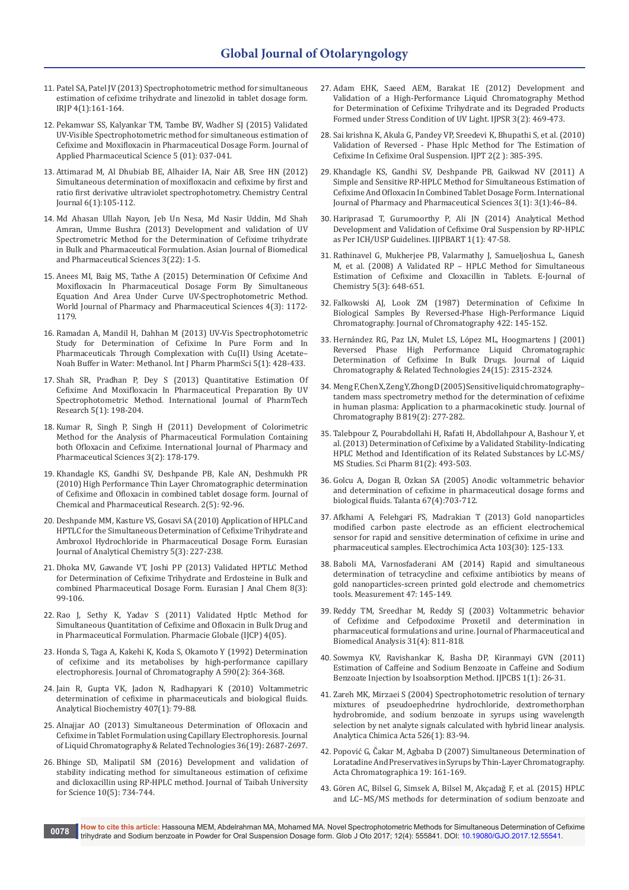- 11. [Patel SA, Patel JV \(2013\) Spectrophotometric method for simultaneous](http://www.irjponline.com/admin/php/uploads/1588_pdf.pdf)  [estimation of cefixime trihydrate and linezolid in tablet dosage form.](http://www.irjponline.com/admin/php/uploads/1588_pdf.pdf)  [IRJP 4\(1\):161-164.](http://www.irjponline.com/admin/php/uploads/1588_pdf.pdf)
- 12. [Pekamwar SS, Kalyankar TM, Tambe BV, Wadher SJ \(2015\) Validated](http://japsonline.com/admin/php/uploads/1410_pdf.pdf)  [UV-Visible Spectrophotometric method for simultaneous estimation of](http://japsonline.com/admin/php/uploads/1410_pdf.pdf)  [Cefixime and Moxifloxacin in Pharmaceutical Dosage Form. Journal of](http://japsonline.com/admin/php/uploads/1410_pdf.pdf)  [Applied Pharmaceutical Science 5 \(01\): 037-041.](http://japsonline.com/admin/php/uploads/1410_pdf.pdf)
- 13. [Attimarad M, Al Dhubiab BE, Alhaider IA, Nair AB, Sree HN \(2012\)](https://ccj.springeropen.com/articles/10.1186/1752-153X-6-105)  [Simultaneous determination of moxifloxacin and cefixime by first and](https://ccj.springeropen.com/articles/10.1186/1752-153X-6-105)  [ratio first derivative ultraviolet spectrophotometry. Chemistry Central](https://ccj.springeropen.com/articles/10.1186/1752-153X-6-105)  [Journal](https://ccj.springeropen.com/articles/10.1186/1752-153X-6-105) 6(1):105-112.
- 14. [Md Ahasan Ullah Nayon, Jeb Un Nesa, Md Nasir Uddin, Md Shah](http://www.alliedacademies.org/articles/development-and-validation-of-uv-spectrometric-method-for-the-determination-of-cefixime-trihydrate-in-bulk-and-pharmaceutical-form.pdf)  [Amran, Umme Bushra \(2013\) Development and validation of UV](http://www.alliedacademies.org/articles/development-and-validation-of-uv-spectrometric-method-for-the-determination-of-cefixime-trihydrate-in-bulk-and-pharmaceutical-form.pdf)  [Spectrometric Method for the Determination of Cefixime trihydrate](http://www.alliedacademies.org/articles/development-and-validation-of-uv-spectrometric-method-for-the-determination-of-cefixime-trihydrate-in-bulk-and-pharmaceutical-form.pdf)  [in Bulk and Pharmaceutical Formulation. Asian Journal of Biomedical](http://www.alliedacademies.org/articles/development-and-validation-of-uv-spectrometric-method-for-the-determination-of-cefixime-trihydrate-in-bulk-and-pharmaceutical-form.pdf)  [and Pharmaceutical Sciences 3\(22\): 1-5.](http://www.alliedacademies.org/articles/development-and-validation-of-uv-spectrometric-method-for-the-determination-of-cefixime-trihydrate-in-bulk-and-pharmaceutical-form.pdf)
- 15. [Anees MI, Baig MS, Tathe A \(2015\) Determination Of Cefixime And](https://www.google.co.in/url?sa=t&rct=j&q=&esrc=s&source=web&cd=1&ved=0ahUKEwiHhuPN7pfYAhWINo8KHfp0BLsQFggmMAA&url=http%3A%2F%2Fwjpps.com%2Fdownload%2Farticle%2F1425133838.pdf&usg=AOvVaw23kfAdlN0epm6-utHMPT8S)  [Moxifloxacin In Pharmaceutical Dosage Form By Simultaneous](https://www.google.co.in/url?sa=t&rct=j&q=&esrc=s&source=web&cd=1&ved=0ahUKEwiHhuPN7pfYAhWINo8KHfp0BLsQFggmMAA&url=http%3A%2F%2Fwjpps.com%2Fdownload%2Farticle%2F1425133838.pdf&usg=AOvVaw23kfAdlN0epm6-utHMPT8S)  [Equation And Area Under Curve UV-Spectrophotometric Method.](https://www.google.co.in/url?sa=t&rct=j&q=&esrc=s&source=web&cd=1&ved=0ahUKEwiHhuPN7pfYAhWINo8KHfp0BLsQFggmMAA&url=http%3A%2F%2Fwjpps.com%2Fdownload%2Farticle%2F1425133838.pdf&usg=AOvVaw23kfAdlN0epm6-utHMPT8S)  [World Journal of Pharmacy and Pharmaceutical Sciences 4\(3\): 1172-](https://www.google.co.in/url?sa=t&rct=j&q=&esrc=s&source=web&cd=1&ved=0ahUKEwiHhuPN7pfYAhWINo8KHfp0BLsQFggmMAA&url=http%3A%2F%2Fwjpps.com%2Fdownload%2Farticle%2F1425133838.pdf&usg=AOvVaw23kfAdlN0epm6-utHMPT8S) [1179.](https://www.google.co.in/url?sa=t&rct=j&q=&esrc=s&source=web&cd=1&ved=0ahUKEwiHhuPN7pfYAhWINo8KHfp0BLsQFggmMAA&url=http%3A%2F%2Fwjpps.com%2Fdownload%2Farticle%2F1425133838.pdf&usg=AOvVaw23kfAdlN0epm6-utHMPT8S)
- 16. Ramadan A, Mandil H, Dahhan M (2013) UV-Vis Spectrophotometric Study for Determination of Cefixime In Pure Form and In Pharmaceuticals Through Complexation with Cu(II) Using Acetate– Noah Buffer in Water: Methanol. Int J Pharm PharmSci 5(1): 428-433.
- 17. [Shah SR, Pradhan P, Dey S \(2013\) Quantitative Estimation Of](http://sphinxsai.com/2013/janmar/pharmpdf/PT=28(198-204)JM13.pdf)  [Cefixime And Moxifloxacin In Pharmaceutical Preparation By UV](http://sphinxsai.com/2013/janmar/pharmpdf/PT=28(198-204)JM13.pdf)  [Spectrophotometric Method. International Journal of PharmTech](http://sphinxsai.com/2013/janmar/pharmpdf/PT=28(198-204)JM13.pdf)  [Research 5\(1\): 198-204.](http://sphinxsai.com/2013/janmar/pharmpdf/PT=28(198-204)JM13.pdf)
- 18. [Kumar R, Singh P, Singh H \(2011\) Development of Colorimetric](http://www.ijppsjournal.com/Vol3Suppl2/1171.pdf)  [Method for the Analysis of Pharmaceutical Formulation Containing](http://www.ijppsjournal.com/Vol3Suppl2/1171.pdf)  [both Ofloxacin and Cefixime. International Journal of Pharmacy and](http://www.ijppsjournal.com/Vol3Suppl2/1171.pdf)  [Pharmaceutical Sciences 3\(2\): 178-179.](http://www.ijppsjournal.com/Vol3Suppl2/1171.pdf)
- 19. [Khandagle KS, Gandhi SV, Deshpande PB, Kale AN, Deshmukh PR](http://www.jocpr.com/articles/high-performance-thin-layer-chromatographic-determination-of-cefixime-and-ofloxacin-in-combined-tablet-dosage-form.pdf)  [\(2010\) High Performance Thin Layer Chromatographic determination](http://www.jocpr.com/articles/high-performance-thin-layer-chromatographic-determination-of-cefixime-and-ofloxacin-in-combined-tablet-dosage-form.pdf)  [of Cefixime and Ofloxacin in combined tablet dosage form. Journal of](http://www.jocpr.com/articles/high-performance-thin-layer-chromatographic-determination-of-cefixime-and-ofloxacin-in-combined-tablet-dosage-form.pdf)  [Chemical and Pharmaceutical Research. 2\(5\): 92-96.](http://www.jocpr.com/articles/high-performance-thin-layer-chromatographic-determination-of-cefixime-and-ofloxacin-in-combined-tablet-dosage-form.pdf)
- 20. [Deshpande](http://www.ncbi.nlm.nih.gov/pubmed/?term=Rezk%20MR%5BAuthor%5D&cauthor=true&cauthor_uid=27232152) MM, Kasture VS, Gosavi SA (2010) Application of HPLC and HPTLC for the Simultaneous Determination of Cefixime Trihydrate and Ambroxol Hydrochloride in Pharmaceutical Dosage Form. Eurasian Journal of Analytical Chemistry 5(3): 227-238.
- 21. [Dhoka MV, Gawande VT, Joshi PP \(2013\) Validated HPTLC Method](http://citeseerx.ist.psu.edu/viewdoc/download?doi=10.1.1.1000.7673&rep=rep1&type=pdf)  [for Determination of Cefixime Trihydrate and Erdosteine in Bulk and](http://citeseerx.ist.psu.edu/viewdoc/download?doi=10.1.1.1000.7673&rep=rep1&type=pdf)  [combined Pharmaceutical Dosage Form. Eurasian J Anal Chem 8\(3\):](http://citeseerx.ist.psu.edu/viewdoc/download?doi=10.1.1.1000.7673&rep=rep1&type=pdf)  [99-106.](http://citeseerx.ist.psu.edu/viewdoc/download?doi=10.1.1.1000.7673&rep=rep1&type=pdf)
- 22. [Rao J, Sethy K, Yadav S \(2011\) Validated Hptlc Method for](https://www.researchgate.net/publication/265988681_Validated_HPTLC_method_for_Simultaneous_quantitation_of_Cefixime_and_ofloxacin_in_Bulk_drug_and_in_Pharmaceutical_formulation)  [Simultaneous Quantitation of Cefixime and Ofloxacin in Bulk Drug and](https://www.researchgate.net/publication/265988681_Validated_HPTLC_method_for_Simultaneous_quantitation_of_Cefixime_and_ofloxacin_in_Bulk_drug_and_in_Pharmaceutical_formulation)  [in Pharmaceutical Formulation. Pharmacie Globale \(IJCP\) 4\(05\).](https://www.researchgate.net/publication/265988681_Validated_HPTLC_method_for_Simultaneous_quantitation_of_Cefixime_and_ofloxacin_in_Bulk_drug_and_in_Pharmaceutical_formulation)
- 23. [Honda S, Taga A, Kakehi K, Koda S, Okamoto Y \(1992\) Determination](http://www.sciencedirect.com/science/article/pii/002196739285400N)  [of cefixime and its metabolises by high-performance capillary](http://www.sciencedirect.com/science/article/pii/002196739285400N)  [electrophoresis. Journal of Chromatography A 590\(2\): 364-368.](http://www.sciencedirect.com/science/article/pii/002196739285400N)
- 24. [Jain R, Gupta VK, Jadon N, Radhapyari K \(2010\) Voltammetric](https://www.sciencedirect.com/science/article/pii/S0003269710004756)  [determination of cefixime in pharmaceuticals and biological fluids.](https://www.sciencedirect.com/science/article/pii/S0003269710004756)  [Analytical Biochemistry 407\(1\): 79-88.](https://www.sciencedirect.com/science/article/pii/S0003269710004756)
- 25. [Alnajjar AO \(2013\) Simultaneous Determination of Ofloxacin and](http://www.tandfonline.com/doi/abs/10.1080/10826076.2012.725691)  [Cefixime in Tablet Formulation using Capillary Electrophoresis. Journal](http://www.tandfonline.com/doi/abs/10.1080/10826076.2012.725691)  [of Liquid Chromatography & Related Technologies 36\(19\): 2687-2697.](http://www.tandfonline.com/doi/abs/10.1080/10826076.2012.725691)
- 26. [Bhinge SD, Malipatil SM \(2016\) Development and validation of](http://www.sciencedirect.com/science/article/pii/S1658365515001612)  [stability indicating method for simultaneous estimation of cefixime](http://www.sciencedirect.com/science/article/pii/S1658365515001612)  [and dicloxacillin using RP-HPLC method. Journal of Taibah University](http://www.sciencedirect.com/science/article/pii/S1658365515001612)  [for Science 10\(5\): 734-744.](http://www.sciencedirect.com/science/article/pii/S1658365515001612)
- 27. [Adam EHK, Saeed AEM, Barakat IE \(2012\) Development and](http://ijpsr.com/bft-article/development-and-validation-of-a-high-performance-liquid-chromatography-method-for-determination-of-cefixime-trihydrate-and-its-degraded-products-formed-under-stress-condition-of-uv-light/)  [Validation of a High-Performance Liquid Chromatography Method](http://ijpsr.com/bft-article/development-and-validation-of-a-high-performance-liquid-chromatography-method-for-determination-of-cefixime-trihydrate-and-its-degraded-products-formed-under-stress-condition-of-uv-light/)  [for Determination of Cefixime Trihydrate and its Degraded Products](http://ijpsr.com/bft-article/development-and-validation-of-a-high-performance-liquid-chromatography-method-for-determination-of-cefixime-trihydrate-and-its-degraded-products-formed-under-stress-condition-of-uv-light/)  [Formed under Stress Condition of UV Light. IJPSR 3\(2\): 469-473.](http://ijpsr.com/bft-article/development-and-validation-of-a-high-performance-liquid-chromatography-method-for-determination-of-cefixime-trihydrate-and-its-degraded-products-formed-under-stress-condition-of-uv-light/)
- 28. [Sai krishna K, Akula G, Pandey VP, Sreedevi K, Bhupathi S, et al. \(2010\)](https://www.researchgate.net/publication/284814058_Validation_of_reversed-phase_hplc_method_for_the_estimation_of_cefixime_in_cefixime_oral_suspension)  [Validation of Reversed - Phase Hplc Method for The Estimation of](https://www.researchgate.net/publication/284814058_Validation_of_reversed-phase_hplc_method_for_the_estimation_of_cefixime_in_cefixime_oral_suspension)  [Cefixime In Cefixime Oral Suspension. IJPT 2\(2 \): 385-395.](https://www.researchgate.net/publication/284814058_Validation_of_reversed-phase_hplc_method_for_the_estimation_of_cefixime_in_cefixime_oral_suspension)
- 29. [Khandagle KS, Gandhi SV, Deshpande PB, Gaikwad NV \(2011\) A](http://www.ijppsjournal.com/Vol3Issue1/920.pdf)  [Simple and Sensitive RP-HPLC Method for Simultaneous Estimation of](http://www.ijppsjournal.com/Vol3Issue1/920.pdf)  [Cefixime And Ofloxacin In Combined Tablet Dosage Form. International](http://www.ijppsjournal.com/Vol3Issue1/920.pdf)  [Journal of Pharmacy and Pharmaceutical Sciences 3\(1\): 3\(1\):46–84.](http://www.ijppsjournal.com/Vol3Issue1/920.pdf)
- 30. [Hariprasad T, Gurumoorthy P, Ali JN \(2014\) Analytical Method](https://www.researchgate.net/publication/265844156_Analytical_Method_Development_and_Validation_of_Cefixime_Oral_Suspension_by_RP-HPLC_as_Per_ICH_USP_Guidelines)  [Development and Validation of Cefixime Oral Suspension by RP-HPLC](https://www.researchgate.net/publication/265844156_Analytical_Method_Development_and_Validation_of_Cefixime_Oral_Suspension_by_RP-HPLC_as_Per_ICH_USP_Guidelines)  [as Per ICH/USP Guidelines. IJIPBART 1\(1\): 47-58.](https://www.researchgate.net/publication/265844156_Analytical_Method_Development_and_Validation_of_Cefixime_Oral_Suspension_by_RP-HPLC_as_Per_ICH_USP_Guidelines)
- 31. [Rathinavel G, Mukherjee PB, Valarmathy J, Samueljoshua L, Ganesh](https://www.hindawi.com/journals/jchem/2008/152390/abs/)  [M, et al. \(2008\) A Validated RP – HPLC Method for Simultaneous](https://www.hindawi.com/journals/jchem/2008/152390/abs/)  [Estimation of Cefixime and Cloxacillin in Tablets. E-Journal of](https://www.hindawi.com/journals/jchem/2008/152390/abs/)  [Chemistry 5\(3\): 648-651.](https://www.hindawi.com/journals/jchem/2008/152390/abs/)
- 32. [Falkowski AJ, Look ZM \(1987\) Determination of Cefixime In](https://www.sciencedirect.com/science/article/pii/0378434787804474)  [Biological Samples By Reversed-Phase High-Performance Liquid](https://www.sciencedirect.com/science/article/pii/0378434787804474)  [Chromatography. Journal of Chromatography 422: 145-152.](https://www.sciencedirect.com/science/article/pii/0378434787804474)
- 33. [Hernández RG, Paz LN, Mulet LS, López ML, Hoogmartens J \(2001\)](http://www.tandfonline.com/doi/abs/10.1081/JLC-100105143?journalCode=ljlc20)  [Reversed Phase High Performance Liquid Chromatographic](http://www.tandfonline.com/doi/abs/10.1081/JLC-100105143?journalCode=ljlc20)  [Determination of Cefixime In Bulk Drugs. Journal of Liquid](http://www.tandfonline.com/doi/abs/10.1081/JLC-100105143?journalCode=ljlc20)  [Chromatography & Related Technologies 24\(15\): 2315-2324.](http://www.tandfonline.com/doi/abs/10.1081/JLC-100105143?journalCode=ljlc20)
- 34. [Meng F, Chen X, Zeng Y, Zhong D \(2005\) Sensitive liquid chromatography–](https://www.ncbi.nlm.nih.gov/pubmed/15833291) [tandem mass spectrometry method for the determination of cefixime](https://www.ncbi.nlm.nih.gov/pubmed/15833291)  [in human plasma: Application to a pharmacokinetic study. Journal of](https://www.ncbi.nlm.nih.gov/pubmed/15833291)  [Chromatography B 819\(2\): 277-282.](https://www.ncbi.nlm.nih.gov/pubmed/15833291)
- 35. [Talebpour Z, Pourabdollahi H, Rafati H, Abdollahpour A, Bashour Y, et](https://www.ncbi.nlm.nih.gov/pubmed/23833715)  [al. \(2013\) Determination of Cefixime by a Validated Stability-Indicating](https://www.ncbi.nlm.nih.gov/pubmed/23833715)  [HPLC Method and Identification of its Related Substances by LC-MS/](https://www.ncbi.nlm.nih.gov/pubmed/23833715) [MS Studies. Sci Pharm 81\(2\): 493-503.](https://www.ncbi.nlm.nih.gov/pubmed/23833715)
- 36. [Golcu A, Dogan B, Ozkan SA \(2005\) Anodic voltammetric behavior](http://www.sciencedirect.com/science/article/pii/S0039914005001773)  [and determination of cefixime in pharmaceutical dosage forms and](http://www.sciencedirect.com/science/article/pii/S0039914005001773)  [biological fluids. Talanta 67\(4\):703-712.](http://www.sciencedirect.com/science/article/pii/S0039914005001773)
- 37. [Afkhami A, Felehgari FS, Madrakian T \(2013\) Gold nanoparticles](https://www.sciencedirect.com/science/article/pii/S0013468613007214)  [modified carbon paste electrode as an efficient electrochemical](https://www.sciencedirect.com/science/article/pii/S0013468613007214)  [sensor for rapid and sensitive determination of cefixime in urine and](https://www.sciencedirect.com/science/article/pii/S0013468613007214)  [pharmaceutical samples. Electrochimica Acta 103\(30\): 125-133.](https://www.sciencedirect.com/science/article/pii/S0013468613007214)
- 38. [Baboli MA, Varnosfaderani AM \(2014\) Rapid and simultaneous](http://www.sciencedirect.com/science/article/pii/S0263224113003886)  [determination of tetracycline and cefixime antibiotics by means of](http://www.sciencedirect.com/science/article/pii/S0263224113003886)  [gold nanoparticles-screen printed gold electrode and chemometrics](http://www.sciencedirect.com/science/article/pii/S0263224113003886)  [tools. Measurement 47: 145-149.](http://www.sciencedirect.com/science/article/pii/S0263224113003886)
- 39. [Reddy TM, Sreedhar M, Reddy SJ \(2003\) Voltammetric behavior](https://www.ncbi.nlm.nih.gov/pubmed/12644208)  [of Cefixime and Cefpodoxime Proxetil and determination in](https://www.ncbi.nlm.nih.gov/pubmed/12644208)  [pharmaceutical formulations and urine. Journal of Pharmaceutical and](https://www.ncbi.nlm.nih.gov/pubmed/12644208)  [Biomedical Analysis 31\(4\): 811-818.](https://www.ncbi.nlm.nih.gov/pubmed/12644208)
- 40. [Sowmya KV, Ravishankar K, Basha DP, Kiranmayi GVN \(2011\)](http://www.ijpcbs.com/files/volume1-1-2011/5.pdf)  [Estimation of Caffeine and Sodium Benzoate in Caffeine and Sodium](http://www.ijpcbs.com/files/volume1-1-2011/5.pdf)  [Benzoate Injection by Isoabsorption Method. IJPCBS 1\(1\): 26-31.](http://www.ijpcbs.com/files/volume1-1-2011/5.pdf)
- 41. [Zareh MK, Mirzaei S \(2004\) Spectrophotometric resolution of ternary](http://www.sciencedirect.com/science/article/pii/S0003267004011183)  [mixtures of pseudoephedrine hydrochloride, dextromethorphan](http://www.sciencedirect.com/science/article/pii/S0003267004011183)  [hydrobromide, and sodium benzoate in syrups using wavelength](http://www.sciencedirect.com/science/article/pii/S0003267004011183)  [selection by net analyte signals calculated with hybrid linear analysis.](http://www.sciencedirect.com/science/article/pii/S0003267004011183)  [Analytica Chimica Acta 526\(1\): 83-94.](http://www.sciencedirect.com/science/article/pii/S0003267004011183)
- 42. [Popović G, Čakar M, Agbaba D \(2007\) Simultaneous Determination of](http://www.us.edu.pl/uniwersytet/jednostki/wydzialy/chemia/acta/ac19/zrodla/14_AC19.pdf)  [Loratadine And Preservatives in Syrups by Thin-Layer Chromatography.](http://www.us.edu.pl/uniwersytet/jednostki/wydzialy/chemia/acta/ac19/zrodla/14_AC19.pdf)  [Acta Chromatographica 19: 161-169.](http://www.us.edu.pl/uniwersytet/jednostki/wydzialy/chemia/acta/ac19/zrodla/14_AC19.pdf)
- 43. [Gören AC, Bilsel G, Simsek A, Bilsel M, Akçadağ F, et al. \(2015\) HPLC](https://www.ncbi.nlm.nih.gov/pubmed/25577080)  [and LC–MS/MS methods for determination of sodium benzoate and](https://www.ncbi.nlm.nih.gov/pubmed/25577080)